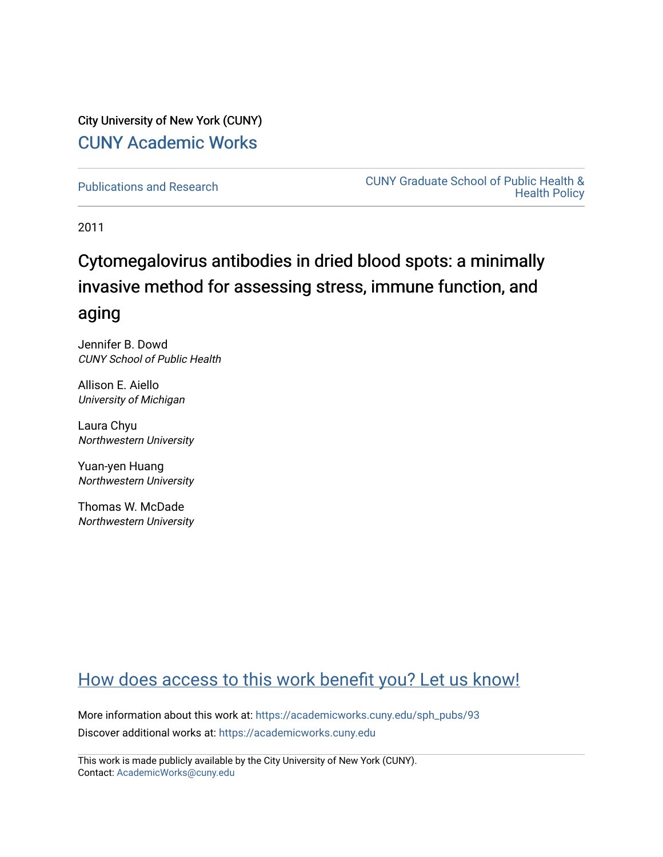City University of New York (CUNY) [CUNY Academic Works](https://academicworks.cuny.edu/) 

[Publications and Research](https://academicworks.cuny.edu/sph_pubs) [CUNY Graduate School of Public Health &](https://academicworks.cuny.edu/sph)  [Health Policy](https://academicworks.cuny.edu/sph) 

2011

## Cytomegalovirus antibodies in dried blood spots: a minimally invasive method for assessing stress, immune function, and aging

Jennifer B. Dowd CUNY School of Public Health

Allison E. Aiello University of Michigan

Laura Chyu Northwestern University

Yuan-yen Huang Northwestern University

Thomas W. McDade Northwestern University

## [How does access to this work benefit you? Let us know!](http://ols.cuny.edu/academicworks/?ref=https://academicworks.cuny.edu/sph_pubs/93)

More information about this work at: [https://academicworks.cuny.edu/sph\\_pubs/93](https://academicworks.cuny.edu/sph_pubs/93) Discover additional works at: [https://academicworks.cuny.edu](https://academicworks.cuny.edu/?)

This work is made publicly available by the City University of New York (CUNY). Contact: [AcademicWorks@cuny.edu](mailto:AcademicWorks@cuny.edu)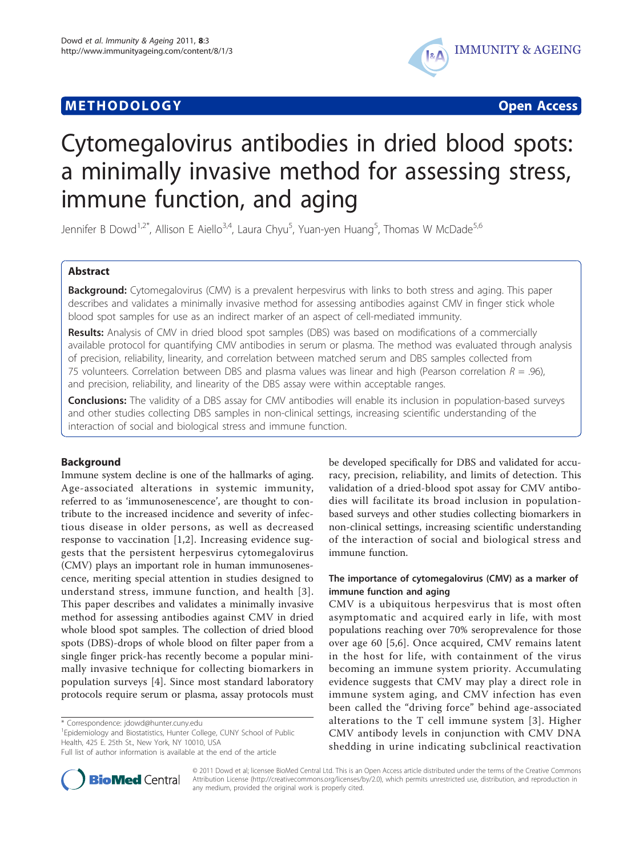### **METHODOLOGY CONSUMING ACCESS**



# Cytomegalovirus antibodies in dried blood spots: a minimally invasive method for assessing stress, immune function, and aging

Jennifer B Dowd<sup>1,2\*</sup>, Allison E Aiello<sup>3,4</sup>, Laura Chyu<sup>5</sup>, Yuan-yen Huang<sup>5</sup>, Thomas W McDade<sup>5,6</sup>

#### Abstract

Background: Cytomegalovirus (CMV) is a prevalent herpesvirus with links to both stress and aging. This paper describes and validates a minimally invasive method for assessing antibodies against CMV in finger stick whole blood spot samples for use as an indirect marker of an aspect of cell-mediated immunity.

Results: Analysis of CMV in dried blood spot samples (DBS) was based on modifications of a commercially available protocol for quantifying CMV antibodies in serum or plasma. The method was evaluated through analysis of precision, reliability, linearity, and correlation between matched serum and DBS samples collected from 75 volunteers. Correlation between DBS and plasma values was linear and high (Pearson correlation  $R = .96$ ), and precision, reliability, and linearity of the DBS assay were within acceptable ranges.

Conclusions: The validity of a DBS assay for CMV antibodies will enable its inclusion in population-based surveys and other studies collecting DBS samples in non-clinical settings, increasing scientific understanding of the interaction of social and biological stress and immune function.

#### Background

Immune system decline is one of the hallmarks of aging. Age-associated alterations in systemic immunity, referred to as 'immunosenescence', are thought to contribute to the increased incidence and severity of infectious disease in older persons, as well as decreased response to vaccination [[1,2\]](#page-6-0). Increasing evidence suggests that the persistent herpesvirus cytomegalovirus (CMV) plays an important role in human immunosenescence, meriting special attention in studies designed to understand stress, immune function, and health [[3\]](#page-6-0). This paper describes and validates a minimally invasive method for assessing antibodies against CMV in dried whole blood spot samples. The collection of dried blood spots (DBS)-drops of whole blood on filter paper from a single finger prick-has recently become a popular minimally invasive technique for collecting biomarkers in population surveys [\[4](#page-6-0)]. Since most standard laboratory protocols require serum or plasma, assay protocols must

<sup>1</sup> Epidemiology and Biostatistics, Hunter College, CUNY School of Public Health, 425 E. 25th St., New York, NY 10010, USA



#### The importance of cytomegalovirus (CMV) as a marker of immune function and aging

CMV is a ubiquitous herpesvirus that is most often asymptomatic and acquired early in life, with most populations reaching over 70% seroprevalence for those over age 60 [[5,6\]](#page-6-0). Once acquired, CMV remains latent in the host for life, with containment of the virus becoming an immune system priority. Accumulating evidence suggests that CMV may play a direct role in immune system aging, and CMV infection has even been called the "driving force" behind age-associated alterations to the T cell immune system [[3\]](#page-6-0). Higher CMV antibody levels in conjunction with CMV DNA shedding in urine indicating subclinical reactivation



© 2011 Dowd et al; licensee BioMed Central Ltd. This is an Open Access article distributed under the terms of the Creative Commons Attribution License [\(http://creativecommons.org/licenses/by/2.0](http://creativecommons.org/licenses/by/2.0)), which permits unrestricted use, distribution, and reproduction in any medium, provided the original work is properly cited.

<sup>\*</sup> Correspondence: [jdowd@hunter.cuny.edu](mailto:jdowd@hunter.cuny.edu)

Full list of author information is available at the end of the article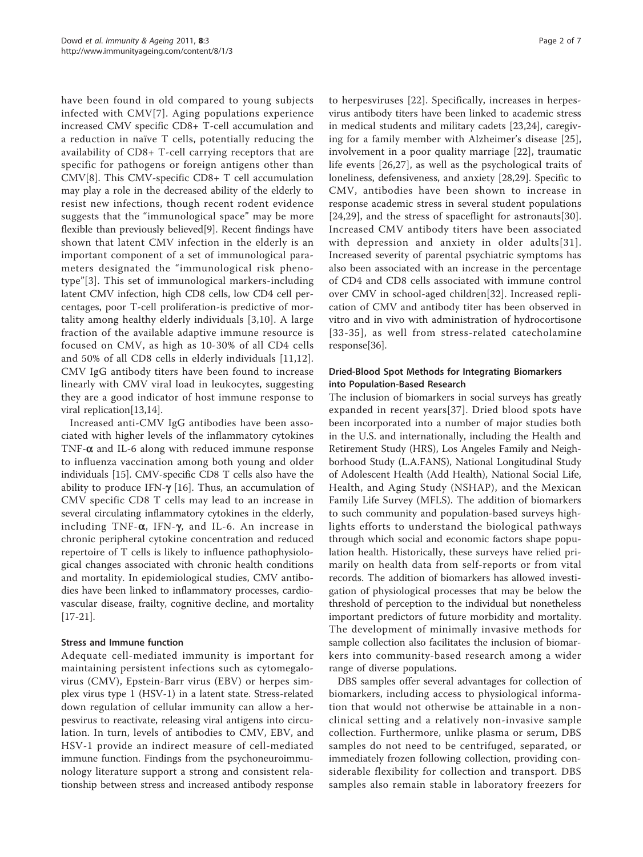have been found in old compared to young subjects infected with CMV[[7](#page-6-0)]. Aging populations experience increased CMV specific CD8+ T-cell accumulation and a reduction in naïve T cells, potentially reducing the availability of CD8+ T-cell carrying receptors that are specific for pathogens or foreign antigens other than CMV[[8\]](#page-6-0). This CMV-specific CD8+ T cell accumulation may play a role in the decreased ability of the elderly to resist new infections, though recent rodent evidence suggests that the "immunological space" may be more flexible than previously believed[[9\]](#page-6-0). Recent findings have shown that latent CMV infection in the elderly is an important component of a set of immunological parameters designated the "immunological risk phenotype"[[3\]](#page-6-0). This set of immunological markers-including latent CMV infection, high CD8 cells, low CD4 cell percentages, poor T-cell proliferation-is predictive of mortality among healthy elderly individuals [[3,10](#page-6-0)]. A large fraction of the available adaptive immune resource is focused on CMV, as high as 10-30% of all CD4 cells and 50% of all CD8 cells in elderly individuals [\[11,12](#page-6-0)]. CMV IgG antibody titers have been found to increase linearly with CMV viral load in leukocytes, suggesting they are a good indicator of host immune response to viral replication[[13,14\]](#page-6-0).

Increased anti-CMV IgG antibodies have been associated with higher levels of the inflammatory cytokines TNF- $\alpha$  and IL-6 along with reduced immune response to influenza vaccination among both young and older individuals [[15\]](#page-6-0). CMV-specific CD8 T cells also have the ability to produce IFN- $\gamma$  [\[16](#page-6-0)]. Thus, an accumulation of CMV specific CD8 T cells may lead to an increase in several circulating inflammatory cytokines in the elderly, including TNF- $\alpha$ , IFN- $\gamma$ , and IL-6. An increase in chronic peripheral cytokine concentration and reduced repertoire of T cells is likely to influence pathophysiological changes associated with chronic health conditions and mortality. In epidemiological studies, CMV antibodies have been linked to inflammatory processes, cardiovascular disease, frailty, cognitive decline, and mortality [[17-21\]](#page-6-0).

#### Stress and Immune function

Adequate cell-mediated immunity is important for maintaining persistent infections such as cytomegalovirus (CMV), Epstein-Barr virus (EBV) or herpes simplex virus type 1 (HSV-1) in a latent state. Stress-related down regulation of cellular immunity can allow a herpesvirus to reactivate, releasing viral antigens into circulation. In turn, levels of antibodies to CMV, EBV, and HSV-1 provide an indirect measure of cell-mediated immune function. Findings from the psychoneuroimmunology literature support a strong and consistent relationship between stress and increased antibody response

to herpesviruses [[22\]](#page-6-0). Specifically, increases in herpesvirus antibody titers have been linked to academic stress in medical students and military cadets [\[23,24](#page-6-0)], caregiving for a family member with Alzheimer's disease [[25](#page-6-0)], involvement in a poor quality marriage [[22](#page-6-0)], traumatic life events [[26,27](#page-6-0)], as well as the psychological traits of loneliness, defensiveness, and anxiety [[28,29\]](#page-6-0). Specific to CMV, antibodies have been shown to increase in response academic stress in several student populations [[24,29](#page-6-0)], and the stress of spaceflight for astronauts[[30](#page-6-0)]. Increased CMV antibody titers have been associated with depression and anxiety in older adults[[31\]](#page-6-0). Increased severity of parental psychiatric symptoms has also been associated with an increase in the percentage of CD4 and CD8 cells associated with immune control over CMV in school-aged children[\[32](#page-6-0)]. Increased replication of CMV and antibody titer has been observed in vitro and in vivo with administration of hydrocortisone [[33](#page-6-0)-[35\]](#page-6-0), as well from stress-related catecholamine response[\[36](#page-6-0)].

#### Dried-Blood Spot Methods for Integrating Biomarkers into Population-Based Research

The inclusion of biomarkers in social surveys has greatly expanded in recent years[[37\]](#page-6-0). Dried blood spots have been incorporated into a number of major studies both in the U.S. and internationally, including the Health and Retirement Study (HRS), Los Angeles Family and Neighborhood Study (L.A.FANS), National Longitudinal Study of Adolescent Health (Add Health), National Social Life, Health, and Aging Study (NSHAP), and the Mexican Family Life Survey (MFLS). The addition of biomarkers to such community and population-based surveys highlights efforts to understand the biological pathways through which social and economic factors shape population health. Historically, these surveys have relied primarily on health data from self-reports or from vital records. The addition of biomarkers has allowed investigation of physiological processes that may be below the threshold of perception to the individual but nonetheless important predictors of future morbidity and mortality. The development of minimally invasive methods for sample collection also facilitates the inclusion of biomarkers into community-based research among a wider range of diverse populations.

DBS samples offer several advantages for collection of biomarkers, including access to physiological information that would not otherwise be attainable in a nonclinical setting and a relatively non-invasive sample collection. Furthermore, unlike plasma or serum, DBS samples do not need to be centrifuged, separated, or immediately frozen following collection, providing considerable flexibility for collection and transport. DBS samples also remain stable in laboratory freezers for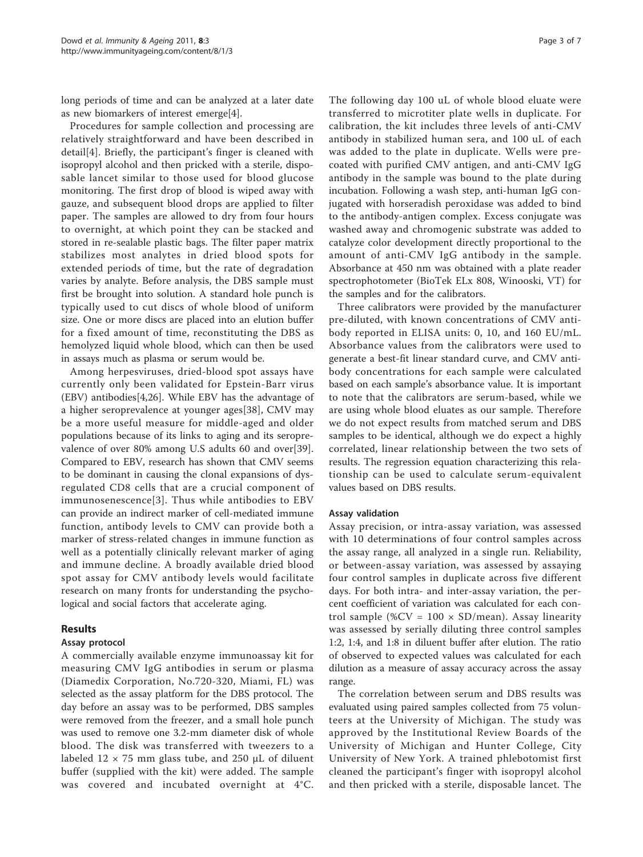long periods of time and can be analyzed at a later date as new biomarkers of interest emerge[\[4](#page-6-0)].

Procedures for sample collection and processing are relatively straightforward and have been described in detail[[4\]](#page-6-0). Briefly, the participant's finger is cleaned with isopropyl alcohol and then pricked with a sterile, disposable lancet similar to those used for blood glucose monitoring. The first drop of blood is wiped away with gauze, and subsequent blood drops are applied to filter paper. The samples are allowed to dry from four hours to overnight, at which point they can be stacked and stored in re-sealable plastic bags. The filter paper matrix stabilizes most analytes in dried blood spots for extended periods of time, but the rate of degradation varies by analyte. Before analysis, the DBS sample must first be brought into solution. A standard hole punch is typically used to cut discs of whole blood of uniform size. One or more discs are placed into an elution buffer for a fixed amount of time, reconstituting the DBS as hemolyzed liquid whole blood, which can then be used in assays much as plasma or serum would be.

Among herpesviruses, dried-blood spot assays have currently only been validated for Epstein-Barr virus (EBV) antibodies[[4,26\]](#page-6-0). While EBV has the advantage of a higher seroprevalence at younger ages[\[38](#page-6-0)], CMV may be a more useful measure for middle-aged and older populations because of its links to aging and its seroprevalence of over 80% among U.S adults 60 and over[\[39](#page-7-0)]. Compared to EBV, research has shown that CMV seems to be dominant in causing the clonal expansions of dysregulated CD8 cells that are a crucial component of immunosenescence[[3](#page-6-0)]. Thus while antibodies to EBV can provide an indirect marker of cell-mediated immune function, antibody levels to CMV can provide both a marker of stress-related changes in immune function as well as a potentially clinically relevant marker of aging and immune decline. A broadly available dried blood spot assay for CMV antibody levels would facilitate research on many fronts for understanding the psychological and social factors that accelerate aging.

#### Results

#### Assay protocol

A commercially available enzyme immunoassay kit for measuring CMV IgG antibodies in serum or plasma (Diamedix Corporation, No.720-320, Miami, FL) was selected as the assay platform for the DBS protocol. The day before an assay was to be performed, DBS samples were removed from the freezer, and a small hole punch was used to remove one 3.2-mm diameter disk of whole blood. The disk was transferred with tweezers to a labeled  $12 \times 75$  mm glass tube, and  $250 \mu L$  of diluent buffer (supplied with the kit) were added. The sample was covered and incubated overnight at 4°C.

The following day 100 uL of whole blood eluate were transferred to microtiter plate wells in duplicate. For calibration, the kit includes three levels of anti-CMV antibody in stabilized human sera, and 100 uL of each was added to the plate in duplicate. Wells were precoated with purified CMV antigen, and anti-CMV IgG antibody in the sample was bound to the plate during incubation. Following a wash step, anti-human IgG conjugated with horseradish peroxidase was added to bind to the antibody-antigen complex. Excess conjugate was washed away and chromogenic substrate was added to catalyze color development directly proportional to the amount of anti-CMV IgG antibody in the sample. Absorbance at 450 nm was obtained with a plate reader spectrophotometer (BioTek ELx 808, Winooski, VT) for the samples and for the calibrators.

Three calibrators were provided by the manufacturer pre-diluted, with known concentrations of CMV antibody reported in ELISA units: 0, 10, and 160 EU/mL. Absorbance values from the calibrators were used to generate a best-fit linear standard curve, and CMV antibody concentrations for each sample were calculated based on each sample's absorbance value. It is important to note that the calibrators are serum-based, while we are using whole blood eluates as our sample. Therefore we do not expect results from matched serum and DBS samples to be identical, although we do expect a highly correlated, linear relationship between the two sets of results. The regression equation characterizing this relationship can be used to calculate serum-equivalent values based on DBS results.

#### Assay validation

Assay precision, or intra-assay variation, was assessed with 10 determinations of four control samples across the assay range, all analyzed in a single run. Reliability, or between-assay variation, was assessed by assaying four control samples in duplicate across five different days. For both intra- and inter-assay variation, the percent coefficient of variation was calculated for each control sample (% $CV = 100 \times SD/mean$ ). Assay linearity was assessed by serially diluting three control samples 1:2, 1:4, and 1:8 in diluent buffer after elution. The ratio of observed to expected values was calculated for each dilution as a measure of assay accuracy across the assay range.

The correlation between serum and DBS results was evaluated using paired samples collected from 75 volunteers at the University of Michigan. The study was approved by the Institutional Review Boards of the University of Michigan and Hunter College, City University of New York. A trained phlebotomist first cleaned the participant's finger with isopropyl alcohol and then pricked with a sterile, disposable lancet. The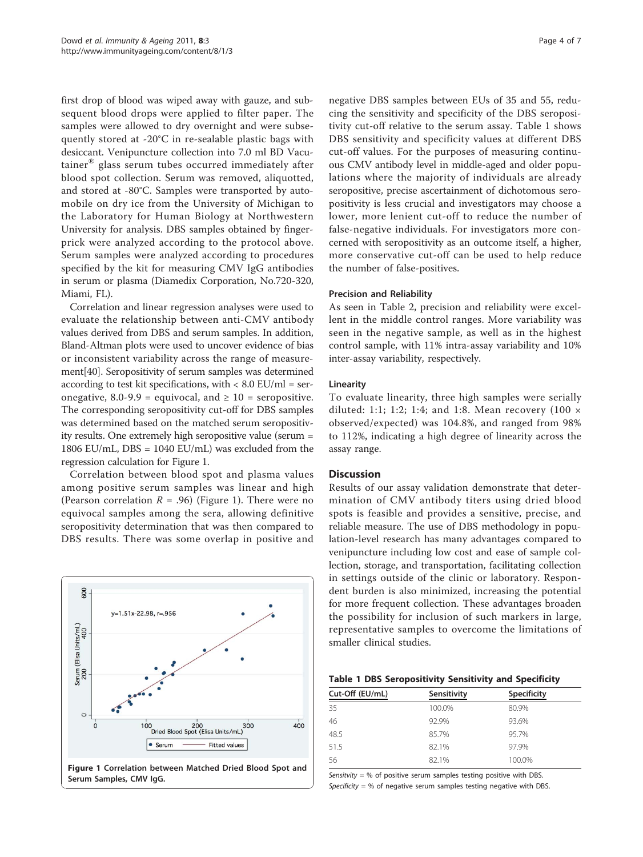first drop of blood was wiped away with gauze, and subsequent blood drops were applied to filter paper. The samples were allowed to dry overnight and were subsequently stored at -20°C in re-sealable plastic bags with desiccant. Venipuncture collection into 7.0 ml BD Vacutainer® glass serum tubes occurred immediately after blood spot collection. Serum was removed, aliquotted, and stored at -80°C. Samples were transported by automobile on dry ice from the University of Michigan to the Laboratory for Human Biology at Northwestern University for analysis. DBS samples obtained by fingerprick were analyzed according to the protocol above. Serum samples were analyzed according to procedures specified by the kit for measuring CMV IgG antibodies in serum or plasma (Diamedix Corporation, No.720-320, Miami, FL).

Correlation and linear regression analyses were used to evaluate the relationship between anti-CMV antibody values derived from DBS and serum samples. In addition, Bland-Altman plots were used to uncover evidence of bias or inconsistent variability across the range of measurement[[40](#page-7-0)]. Seropositivity of serum samples was determined according to test kit specifications, with  $< 8.0$  EU/ml = seronegative,  $8.0 - 9.9 =$  equivocal, and  $\geq 10 =$  seropositive. The corresponding seropositivity cut-off for DBS samples was determined based on the matched serum seropositivity results. One extremely high seropositive value (serum = 1806 EU/mL,  $DBS = 1040$  EU/mL) was excluded from the regression calculation for Figure 1.

Correlation between blood spot and plasma values among positive serum samples was linear and high (Pearson correlation  $R = .96$ ) (Figure 1). There were no equivocal samples among the sera, allowing definitive seropositivity determination that was then compared to DBS results. There was some overlap in positive and



negative DBS samples between EUs of 35 and 55, reducing the sensitivity and specificity of the DBS seropositivity cut-off relative to the serum assay. Table 1 shows DBS sensitivity and specificity values at different DBS cut-off values. For the purposes of measuring continuous CMV antibody level in middle-aged and older populations where the majority of individuals are already seropositive, precise ascertainment of dichotomous seropositivity is less crucial and investigators may choose a lower, more lenient cut-off to reduce the number of false-negative individuals. For investigators more concerned with seropositivity as an outcome itself, a higher, more conservative cut-off can be used to help reduce the number of false-positives.

#### Precision and Reliability

As seen in Table [2,](#page-5-0) precision and reliability were excellent in the middle control ranges. More variability was seen in the negative sample, as well as in the highest control sample, with 11% intra-assay variability and 10% inter-assay variability, respectively.

#### Linearity

To evaluate linearity, three high samples were serially diluted: 1:1; 1:2; 1:4; and 1:8. Mean recovery (100  $\times$ observed/expected) was 104.8%, and ranged from 98% to 112%, indicating a high degree of linearity across the assay range.

#### **Discussion**

Results of our assay validation demonstrate that determination of CMV antibody titers using dried blood spots is feasible and provides a sensitive, precise, and reliable measure. The use of DBS methodology in population-level research has many advantages compared to venipuncture including low cost and ease of sample collection, storage, and transportation, facilitating collection in settings outside of the clinic or laboratory. Respondent burden is also minimized, increasing the potential for more frequent collection. These advantages broaden the possibility for inclusion of such markers in large, representative samples to overcome the limitations of smaller clinical studies.

|  |  | Table 1 DBS Seropositivity Sensitivity and Specificity |  |  |  |
|--|--|--------------------------------------------------------|--|--|--|
|--|--|--------------------------------------------------------|--|--|--|

| Cut-Off (EU/mL) | Sensitivity | Specificity |
|-----------------|-------------|-------------|
| 35              | 100.0%      | 80.9%       |
| 46              | 92.9%       | 93.6%       |
| 48.5            | 85.7%       | 95.7%       |
| 51.5            | 82.1%       | 97.9%       |
| 56              | 82.1%       | 100.0%      |

Sensitvity =  $%$  of positive serum samples testing positive with DBS. Specificity =  $%$  of negative serum samples testing negative with DBS.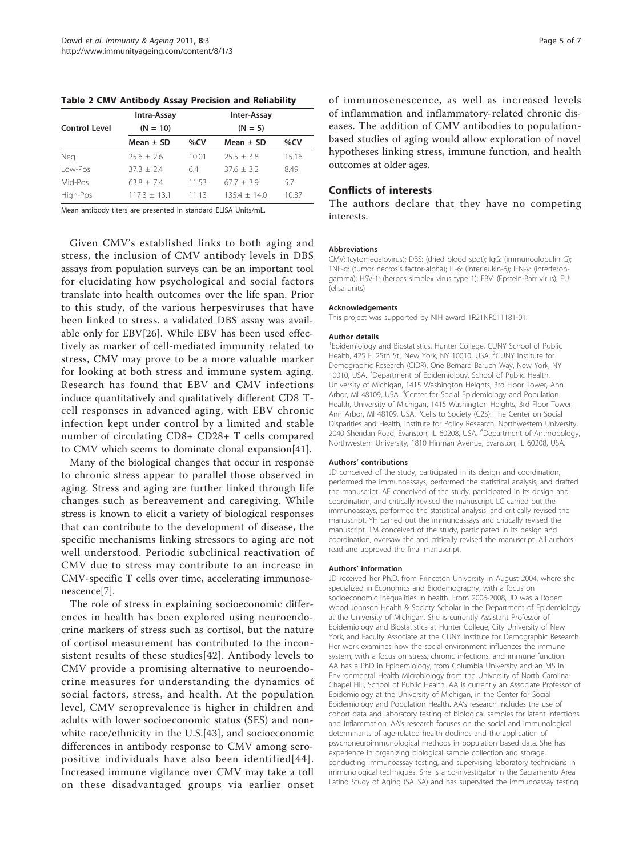|                      | Intra-Assay    |       | Inter-Assay    |       |
|----------------------|----------------|-------|----------------|-------|
| <b>Control Level</b> | $(N = 10)$     |       | $(N = 5)$      |       |
|                      | Mean $\pm$ SD  | %CV   | Mean $\pm$ SD  | %CV   |
| Neg                  | $25.6 + 2.6$   | 10.01 | $25.5 + 3.8$   | 15.16 |
| Low-Pos              | $37.3 + 2.4$   | 6.4   | $37.6 + 3.2$   | 8.49  |
| Mid-Pos              | $63.8 + 7.4$   | 11.53 | $67.7 + 3.9$   | 5.7   |
| High-Pos             | $117.3 + 13.1$ | 11.13 | $135.4 + 14.0$ | 10.37 |

<span id="page-5-0"></span>

| Table 2 CMV Antibody Assay Precision and Reliability |  |
|------------------------------------------------------|--|
|------------------------------------------------------|--|

Mean antibody titers are presented in standard ELISA Units/mL.

Given CMV's established links to both aging and stress, the inclusion of CMV antibody levels in DBS assays from population surveys can be an important tool for elucidating how psychological and social factors translate into health outcomes over the life span. Prior to this study, of the various herpesviruses that have been linked to stress. a validated DBS assay was available only for EBV[\[26](#page-6-0)]. While EBV has been used effectively as marker of cell-mediated immunity related to stress, CMV may prove to be a more valuable marker for looking at both stress and immune system aging. Research has found that EBV and CMV infections induce quantitatively and qualitatively different CD8 Tcell responses in advanced aging, with EBV chronic infection kept under control by a limited and stable number of circulating CD8+ CD28+ T cells compared to CMV which seems to dominate clonal expansion[[41](#page-7-0)].

Many of the biological changes that occur in response to chronic stress appear to parallel those observed in aging. Stress and aging are further linked through life changes such as bereavement and caregiving. While stress is known to elicit a variety of biological responses that can contribute to the development of disease, the specific mechanisms linking stressors to aging are not well understood. Periodic subclinical reactivation of CMV due to stress may contribute to an increase in CMV-specific T cells over time, accelerating immunosenescence[\[7](#page-6-0)].

The role of stress in explaining socioeconomic differences in health has been explored using neuroendocrine markers of stress such as cortisol, but the nature of cortisol measurement has contributed to the inconsistent results of these studies[[42\]](#page-7-0). Antibody levels to CMV provide a promising alternative to neuroendocrine measures for understanding the dynamics of social factors, stress, and health. At the population level, CMV seroprevalence is higher in children and adults with lower socioeconomic status (SES) and nonwhite race/ethnicity in the U.S.[\[43](#page-7-0)], and socioeconomic differences in antibody response to CMV among seropositive individuals have also been identified[[44\]](#page-7-0). Increased immune vigilance over CMV may take a toll on these disadvantaged groups via earlier onset

of immunosenescence, as well as increased levels of inflammation and inflammatory-related chronic diseases. The addition of CMV antibodies to populationbased studies of aging would allow exploration of novel hypotheses linking stress, immune function, and health outcomes at older ages.

#### Conflicts of interests

The authors declare that they have no competing interests.

#### Abbreviations

CMV: (cytomegalovirus); DBS: (dried blood spot); IgG: (immunoglobulin G); TNF-α: (tumor necrosis factor-alpha); IL-6: (interleukin-6); IFN-γ: (interferongamma); HSV-1: (herpes simplex virus type 1); EBV: (Epstein-Barr virus); EU: (elisa units)

#### Acknowledgements

This project was supported by NIH award 1R21NR011181-01.

#### Author details

1 Epidemiology and Biostatistics, Hunter College, CUNY School of Public Health, 425 E. 25th St., New York, NY 10010, USA. <sup>2</sup>CUNY Institute for Demographic Research (CIDR), One Bernard Baruch Way, New York, NY 10010, USA. <sup>3</sup>Department of Epidemiology, School of Public Health University of Michigan, 1415 Washington Heights, 3rd Floor Tower, Ann Arbor, MI 48109, USA. <sup>4</sup>Center for Social Epidemiology and Population Health, University of Michigan, 1415 Washington Heights, 3rd Floor Tower, Ann Arbor, MI 48109, USA. <sup>5</sup>Cells to Society (C2S): The Center on Social Disparities and Health, Institute for Policy Research, Northwestern University, 2040 Sheridan Road, Evanston, IL 60208, USA. <sup>6</sup>Department of Anthropology, Northwestern University, 1810 Hinman Avenue, Evanston, IL 60208, USA.

#### Authors' contributions

JD conceived of the study, participated in its design and coordination, performed the immunoassays, performed the statistical analysis, and drafted the manuscript. AE conceived of the study, participated in its design and coordination, and critically revised the manuscript. LC carried out the immunoassays, performed the statistical analysis, and critically revised the manuscript. YH carried out the immunoassays and critically revised the manuscript. TM conceived of the study, participated in its design and coordination, oversaw the and critically revised the manuscript. All authors read and approved the final manuscript.

#### Authors' information

JD received her Ph.D. from Princeton University in August 2004, where she specialized in Economics and Biodemography, with a focus on socioeconomic inequalities in health. From 2006-2008, JD was a Robert Wood Johnson Health & Society Scholar in the Department of Epidemiology at the University of Michigan. She is currently Assistant Professor of Epidemiology and Biostatistics at Hunter College, City University of New York, and Faculty Associate at the CUNY Institute for Demographic Research. Her work examines how the social environment influences the immune system, with a focus on stress, chronic infections, and immune function. AA has a PhD in Epidemiology, from Columbia University and an MS in Environmental Health Microbiology from the University of North Carolina-Chapel Hill, School of Public Health. AA is currently an Associate Professor of Epidemiology at the University of Michigan, in the Center for Social Epidemiology and Population Health. AA's research includes the use of cohort data and laboratory testing of biological samples for latent infections and inflammation. AA's research focuses on the social and immunological determinants of age-related health declines and the application of psychoneuroimmunological methods in population based data. She has experience in organizing biological sample collection and storage, conducting immunoassay testing, and supervising laboratory technicians in immunological techniques. She is a co-investigator in the Sacramento Area Latino Study of Aging (SALSA) and has supervised the immunoassay testing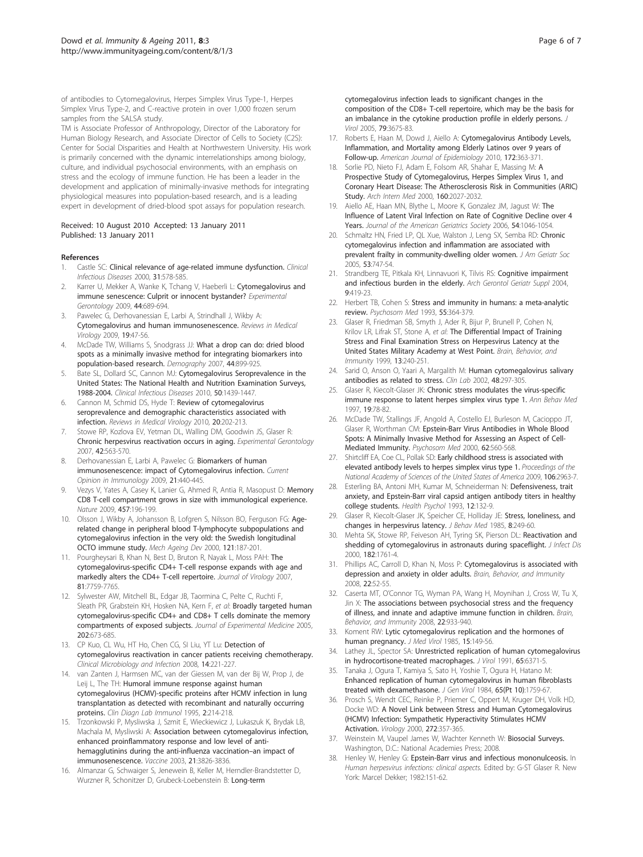<span id="page-6-0"></span>of antibodies to Cytomegalovirus, Herpes Simplex Virus Type-1, Herpes Simplex Virus Type-2, and C-reactive protein in over 1,000 frozen serum samples from the SALSA study.

TM is Associate Professor of Anthropology, Director of the Laboratory for Human Biology Research, and Associate Director of Cells to Society (C2S): Center for Social Disparities and Health at Northwestern University. His work is primarily concerned with the dynamic interrelationships among biology, culture, and individual psychosocial environments, with an emphasis on stress and the ecology of immune function. He has been a leader in the development and application of minimally-invasive methods for integrating physiological measures into population-based research, and is a leading expert in development of dried-blood spot assays for population research.

#### Received: 10 August 2010 Accepted: 13 January 2011 Published: 13 January 2011

#### References

- Castle SC: [Clinical relevance of age-related immune dysfunction.](http://www.ncbi.nlm.nih.gov/pubmed/10987724?dopt=Abstract) Clinical Infectious Diseases 2000, 31:578-585.
- 2. Karrer U, Mekker A, Wanke K, Tchang V, Haeberli L: [Cytomegalovirus and](http://www.ncbi.nlm.nih.gov/pubmed/19766181?dopt=Abstract) [immune senescence: Culprit or innocent bystander?](http://www.ncbi.nlm.nih.gov/pubmed/19766181?dopt=Abstract) Experimental Gerontology 2009, 44:689-694.
- 3. Pawelec G, Derhovanessian E, Larbi A, Strindhall J, Wikby A: [Cytomegalovirus and human immunosenescence.](http://www.ncbi.nlm.nih.gov/pubmed/19035529?dopt=Abstract) Reviews in Medical Virology 2009, 19:47-56.
- 4. McDade TW, Williams S, Snodgrass JJ: [What a drop can do: dried blood](http://www.ncbi.nlm.nih.gov/pubmed/18232218?dopt=Abstract) [spots as a minimally invasive method for integrating biomarkers into](http://www.ncbi.nlm.nih.gov/pubmed/18232218?dopt=Abstract) [population-based research.](http://www.ncbi.nlm.nih.gov/pubmed/18232218?dopt=Abstract) Demography 2007, 44:899-925.
- 5. Bate SL, Dollard SC, Cannon MJ: [Cytomegalovirus Seroprevalence in the](http://www.ncbi.nlm.nih.gov/pubmed/20426575?dopt=Abstract) [United States: The National Health and Nutrition Examination Surveys,](http://www.ncbi.nlm.nih.gov/pubmed/20426575?dopt=Abstract) [1988-2004.](http://www.ncbi.nlm.nih.gov/pubmed/20426575?dopt=Abstract) Clinical Infectious Diseases 2010, 50:1439-1447.
- 6. Cannon M, Schmid DS, Hyde T: [Review of cytomegalovirus](http://www.ncbi.nlm.nih.gov/pubmed/20564615?dopt=Abstract) [seroprevalence and demographic characteristics associated with](http://www.ncbi.nlm.nih.gov/pubmed/20564615?dopt=Abstract) [infection.](http://www.ncbi.nlm.nih.gov/pubmed/20564615?dopt=Abstract) Reviews in Medical Virology 2010, 20:202-213.
- 7. Stowe RP, Kozlova EV, Yetman DL, Walling DM, Goodwin JS, Glaser R: [Chronic herpesvirus reactivation occurs in aging.](http://www.ncbi.nlm.nih.gov/pubmed/17337145?dopt=Abstract) Experimental Gerontology 2007, 42:563-570.
- Derhovanessian E, Larbi A, Pawelec G: [Biomarkers of human](http://www.ncbi.nlm.nih.gov/pubmed/19535233?dopt=Abstract) [immunosenescence: impact of Cytomegalovirus infection.](http://www.ncbi.nlm.nih.gov/pubmed/19535233?dopt=Abstract) Current Opinion in Immunology 2009, 21:440-445.
- Vezys V, Yates A, Casey K, Lanier G, Ahmed R, Antia R, Masopust D: [Memory](http://www.ncbi.nlm.nih.gov/pubmed/19005468?dopt=Abstract) [CD8 T-cell compartment grows in size with immunological experience.](http://www.ncbi.nlm.nih.gov/pubmed/19005468?dopt=Abstract) Nature 2009, 457:196-199.
- 10. Olsson J, Wikby A, Johansson B, Lofgren S, Nilsson BO, Ferguson FG: [Age](http://www.ncbi.nlm.nih.gov/pubmed/11164473?dopt=Abstract)[related change in peripheral blood T-lymphocyte subpopulations and](http://www.ncbi.nlm.nih.gov/pubmed/11164473?dopt=Abstract) [cytomegalovirus infection in the very old: the Swedish longitudinal](http://www.ncbi.nlm.nih.gov/pubmed/11164473?dopt=Abstract) [OCTO immune study.](http://www.ncbi.nlm.nih.gov/pubmed/11164473?dopt=Abstract) Mech Ageing Dev 2000, 121:187-201.
- 11. Pourgheysari B, Khan N, Best D, Bruton R, Nayak L, Moss PAH: [The](http://www.ncbi.nlm.nih.gov/pubmed/17409149?dopt=Abstract) [cytomegalovirus-specific CD4+ T-cell response expands with age and](http://www.ncbi.nlm.nih.gov/pubmed/17409149?dopt=Abstract) [markedly alters the CD4+ T-cell repertoire.](http://www.ncbi.nlm.nih.gov/pubmed/17409149?dopt=Abstract) Journal of Virology 2007, 81:7759-7765.
- 12. Sylwester AW, Mitchell BL, Edgar JB, Taormina C, Pelte C, Ruchti F, Sleath PR, Grabstein KH, Hosken NA, Kern F, et al: [Broadly targeted human](http://www.ncbi.nlm.nih.gov/pubmed/16147978?dopt=Abstract) [cytomegalovirus-specific CD4+ and CD8+ T cells dominate the memory](http://www.ncbi.nlm.nih.gov/pubmed/16147978?dopt=Abstract) [compartments of exposed subjects.](http://www.ncbi.nlm.nih.gov/pubmed/16147978?dopt=Abstract) Journal of Experimental Medicine 2005, 202:673-685.
- 13. CP Kuo, CL Wu, HT Ho, Chen CG, SI Liu, YT Lu: [Detection of](http://www.ncbi.nlm.nih.gov/pubmed/18070129?dopt=Abstract) [cytomegalovirus reactivation in cancer patients receiving chemotherapy.](http://www.ncbi.nlm.nih.gov/pubmed/18070129?dopt=Abstract) Clinical Microbiology and Infection 2008, 14:221-227.
- 14. van Zanten J, Harmsen MC, van der Giessen M, van der Bij W, Prop J, de Leij L, The TH: [Humoral immune response against human](http://www.ncbi.nlm.nih.gov/pubmed/7535179?dopt=Abstract) [cytomegalovirus \(HCMV\)-specific proteins after HCMV infection in lung](http://www.ncbi.nlm.nih.gov/pubmed/7535179?dopt=Abstract) [transplantation as detected with recombinant and naturally occurring](http://www.ncbi.nlm.nih.gov/pubmed/7535179?dopt=Abstract) [proteins.](http://www.ncbi.nlm.nih.gov/pubmed/7535179?dopt=Abstract) Clin Diagn Lab Immunol 1995, 2:214-218.
- 15. Trzonkowski P, Mysliwska J, Szmit E, Wieckiewicz J, Lukaszuk K, Brydak LB, Machala M, Mysliwski A: [Association between cytomegalovirus infection,](http://www.ncbi.nlm.nih.gov/pubmed/12922116?dopt=Abstract) [enhanced proinflammatory response and low level of anti](http://www.ncbi.nlm.nih.gov/pubmed/12922116?dopt=Abstract)[hemagglutinins during the anti-influenza vaccination](http://www.ncbi.nlm.nih.gov/pubmed/12922116?dopt=Abstract)–an impact of [immunosenescence.](http://www.ncbi.nlm.nih.gov/pubmed/12922116?dopt=Abstract) Vaccine 2003, 21:3826-3836.
- Almanzar G, Schwaiger S, Jenewein B, Keller M, Herndler-Brandstetter D, Wurzner R, Schonitzer D, Grubeck-Loebenstein B: [Long-term](http://www.ncbi.nlm.nih.gov/pubmed/15731261?dopt=Abstract)

[cytomegalovirus infection leads to significant changes in the](http://www.ncbi.nlm.nih.gov/pubmed/15731261?dopt=Abstract) [composition of the CD8+ T-cell repertoire, which may be the basis for](http://www.ncbi.nlm.nih.gov/pubmed/15731261?dopt=Abstract) [an imbalance in the cytokine production profile in elderly persons.](http://www.ncbi.nlm.nih.gov/pubmed/15731261?dopt=Abstract) J Virol 2005, 79:3675-83.

- 17. Roberts E, Haan M, Dowd J, Aiello A: [Cytomegalovirus Antibody Levels,](http://www.ncbi.nlm.nih.gov/pubmed/20660122?dopt=Abstract) [Inflammation, and Mortality among Elderly Latinos over 9 years of](http://www.ncbi.nlm.nih.gov/pubmed/20660122?dopt=Abstract) [Follow-up.](http://www.ncbi.nlm.nih.gov/pubmed/20660122?dopt=Abstract) American Journal of Epidemiology 2010, 172:363-371.
- 18. Sorlie PD, Nieto FJ, Adam E, Folsom AR, Shahar E, Massing M: [A](http://www.ncbi.nlm.nih.gov/pubmed/10888976?dopt=Abstract) [Prospective Study of Cytomegalovirus, Herpes Simplex Virus 1, and](http://www.ncbi.nlm.nih.gov/pubmed/10888976?dopt=Abstract) [Coronary Heart Disease: The Atherosclerosis Risk in Communities \(ARIC\)](http://www.ncbi.nlm.nih.gov/pubmed/10888976?dopt=Abstract) [Study.](http://www.ncbi.nlm.nih.gov/pubmed/10888976?dopt=Abstract) Arch Intern Med 2000, 160:2027-2032.
- 19. Aiello AE, Haan MN, Blythe L, Moore K, Gonzalez JM, Jagust W: [The](http://www.ncbi.nlm.nih.gov/pubmed/16866674?dopt=Abstract) [Influence of Latent Viral Infection on Rate of Cognitive Decline over 4](http://www.ncbi.nlm.nih.gov/pubmed/16866674?dopt=Abstract) [Years.](http://www.ncbi.nlm.nih.gov/pubmed/16866674?dopt=Abstract) Journal of the American Geriatrics Society 2006, 54:1046-1054.
- 20. Schmaltz HN, Fried LP, QL Xue, Walston J, Leng SX, Semba RD: [Chronic](http://www.ncbi.nlm.nih.gov/pubmed/15877548?dopt=Abstract) [cytomegalovirus infection and inflammation are associated with](http://www.ncbi.nlm.nih.gov/pubmed/15877548?dopt=Abstract) [prevalent frailty in community-dwelling older women.](http://www.ncbi.nlm.nih.gov/pubmed/15877548?dopt=Abstract) J Am Geriatr Soc 2005, 53:747-54.
- 21. Strandberg TE, Pitkala KH, Linnavuori K, Tilvis RS: [Cognitive impairment](http://www.ncbi.nlm.nih.gov/pubmed/15207442?dopt=Abstract) [and infectious burden in the elderly.](http://www.ncbi.nlm.nih.gov/pubmed/15207442?dopt=Abstract) Arch Gerontol Geriatr Suppl 2004, 9:419-23.
- 22. Herbert TB, Cohen S: [Stress and immunity in humans: a meta-analytic](http://www.ncbi.nlm.nih.gov/pubmed/8416086?dopt=Abstract) [review.](http://www.ncbi.nlm.nih.gov/pubmed/8416086?dopt=Abstract) Psychosom Med 1993, 55:364-379.
- 23. Glaser R, Friedman SB, Smyth J, Ader R, Bijur P, Brunell P, Cohen N, Krilov LR, Lifrak ST, Stone A, et al: [The Differential Impact of Training](http://www.ncbi.nlm.nih.gov/pubmed/10469525?dopt=Abstract) [Stress and Final Examination Stress on Herpesvirus Latency at the](http://www.ncbi.nlm.nih.gov/pubmed/10469525?dopt=Abstract) [United States Military Academy at West Point.](http://www.ncbi.nlm.nih.gov/pubmed/10469525?dopt=Abstract) Brain, Behavior, and Immunity 1999, 13:240-251.
- 24. Sarid O, Anson O, Yaari A, Margalith M: [Human cytomegalovirus salivary](http://www.ncbi.nlm.nih.gov/pubmed/12071580?dopt=Abstract) [antibodies as related to stress.](http://www.ncbi.nlm.nih.gov/pubmed/12071580?dopt=Abstract) Clin Lab 2002, 48:297-305.
- 25. Glaser R, Kiecolt-Glaser JK: [Chronic stress modulates the virus-specific](http://www.ncbi.nlm.nih.gov/pubmed/9603681?dopt=Abstract) [immune response to latent herpes simplex virus type 1.](http://www.ncbi.nlm.nih.gov/pubmed/9603681?dopt=Abstract) Ann Behav Med 1997, 19:78-82.
- 26. McDade TW, Stallings JF, Angold A, Costello EJ, Burleson M, Cacioppo JT, Glaser R, Worthman CM: [Epstein-Barr Virus Antibodies in Whole Blood](http://www.ncbi.nlm.nih.gov/pubmed/10949102?dopt=Abstract) [Spots: A Minimally Invasive Method for Assessing an Aspect of Cell-](http://www.ncbi.nlm.nih.gov/pubmed/10949102?dopt=Abstract)[Mediated Immunity.](http://www.ncbi.nlm.nih.gov/pubmed/10949102?dopt=Abstract) Psychosom Med 2000, 62:560-568.
- 27. Shirtcliff EA, Coe CL, Pollak SD: [Early childhood stress is associated with](http://www.ncbi.nlm.nih.gov/pubmed/19188604?dopt=Abstract) [elevated antibody levels to herpes simplex virus type 1.](http://www.ncbi.nlm.nih.gov/pubmed/19188604?dopt=Abstract) Proceedings of the National Academy of Sciences of the United States of America 2009, 106:2963-7.
- 28. Esterling BA, Antoni MH, Kumar M, Schneiderman N: [Defensiveness, trait](http://www.ncbi.nlm.nih.gov/pubmed/8500440?dopt=Abstract) [anxiety, and Epstein-Barr viral capsid antigen antibody titers in healthy](http://www.ncbi.nlm.nih.gov/pubmed/8500440?dopt=Abstract) [college students.](http://www.ncbi.nlm.nih.gov/pubmed/8500440?dopt=Abstract) Health Psychol 1993, 12:132-9.
- 29. Glaser R, Kiecolt-Glaser JK, Speicher CE, Holliday JE: [Stress, loneliness, and](http://www.ncbi.nlm.nih.gov/pubmed/3003360?dopt=Abstract) [changes in herpesvirus latency.](http://www.ncbi.nlm.nih.gov/pubmed/3003360?dopt=Abstract) J Behav Med 1985, 8:249-60.
- 30. Mehta SK, Stowe RP, Feiveson AH, Tyring SK, Pierson DL: [Reactivation and](http://www.ncbi.nlm.nih.gov/pubmed/11069250?dopt=Abstract) [shedding of cytomegalovirus in astronauts during spaceflight.](http://www.ncbi.nlm.nih.gov/pubmed/11069250?dopt=Abstract) J Infect Dis 2000, 182:1761-4.
- 31. Phillips AC, Carroll D, Khan N, Moss P: [Cytomegalovirus is associated with](http://www.ncbi.nlm.nih.gov/pubmed/17703915?dopt=Abstract) [depression and anxiety in older adults.](http://www.ncbi.nlm.nih.gov/pubmed/17703915?dopt=Abstract) Brain, Behavior, and Immunity 2008, 22:52-55.
- 32. Caserta MT, O'Connor TG, Wyman PA, Wang H, Moynihan J, Cross W, Tu X, Jin X: [The associations between psychosocial stress and the frequency](http://www.ncbi.nlm.nih.gov/pubmed/18308510?dopt=Abstract) [of illness, and innate and adaptive immune function in children.](http://www.ncbi.nlm.nih.gov/pubmed/18308510?dopt=Abstract) Brain, Behavior, and Immunity 2008, 22:933-940.
- 33. Koment RW: [Lytic cytomegalovirus replication and the hormones of](http://www.ncbi.nlm.nih.gov/pubmed/2983009?dopt=Abstract) [human pregnancy.](http://www.ncbi.nlm.nih.gov/pubmed/2983009?dopt=Abstract) J Med Virol 1985, 15:149-56.
- 34. Lathey JL, Spector SA: [Unrestricted replication of human cytomegalovirus](http://www.ncbi.nlm.nih.gov/pubmed/1656103?dopt=Abstract) [in hydrocortisone-treated macrophages.](http://www.ncbi.nlm.nih.gov/pubmed/1656103?dopt=Abstract) J Virol 1991, 65:6371-5.
- 35. Tanaka J, Ogura T, Kamiya S, Sato H, Yoshie T, Ogura H, Hatano M: [Enhanced replication of human cytomegalovirus in human fibroblasts](http://www.ncbi.nlm.nih.gov/pubmed/6092521?dopt=Abstract) [treated with dexamethasone.](http://www.ncbi.nlm.nih.gov/pubmed/6092521?dopt=Abstract) J Gen Virol 1984, 65(Pt 10):1759-67
- 36. Prosch S, Wendt CEC, Reinke P, Priemer C, Oppert M, Kruger DH, Volk HD, Docke WD: [A Novel Link between Stress and Human Cytomegalovirus](http://www.ncbi.nlm.nih.gov/pubmed/10873779?dopt=Abstract) [\(HCMV\) Infection: Sympathetic Hyperactivity Stimulates HCMV](http://www.ncbi.nlm.nih.gov/pubmed/10873779?dopt=Abstract) [Activation.](http://www.ncbi.nlm.nih.gov/pubmed/10873779?dopt=Abstract) Virology 2000, 272:357-365.
- 37. Weinstein M, Vaupel James W, Wachter Kenneth W: Biosocial Surveys. Washington, D.C.: National Academies Press; 2008.
- 38. Henley W, Henley G: Epstein-Barr virus and infectious mononulceosis. In Human herpesvirus infections: clinical aspects. Edited by: G-ST Glaser R. New York: Marcel Dekker; 1982:151-62.